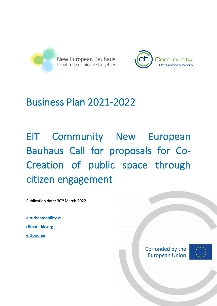



## Business Plan 2021-2022

# EIT Community New European Bauhaus Call for proposals for Co-Creation of public space through citizen engagement

Publication date: 30<sup>th</sup> March 2022.

**[eiturbanmobility.eu](http://www.eiturbanmobility.eu/) [climate-kic.org](https://www.climate-kic.org/) [eitfood.eu](https://www.eitfood.eu/)**

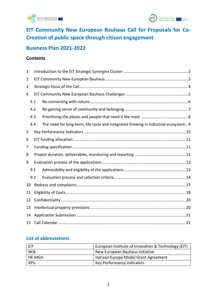



## **EIT Community New European Bauhaus Call for Proposals for Co-Creation of public space through citizen engagement**

#### **Business Plan 2021-2022**

#### **Contents**

| 1  |     |                                                                                     |  |  |  |
|----|-----|-------------------------------------------------------------------------------------|--|--|--|
| 2  |     |                                                                                     |  |  |  |
| 3  |     |                                                                                     |  |  |  |
| 4  |     |                                                                                     |  |  |  |
|    | 4.1 |                                                                                     |  |  |  |
|    | 4.2 |                                                                                     |  |  |  |
|    | 4.3 |                                                                                     |  |  |  |
|    | 4.4 | The need for long-term, life cycle and integrated thinking in industrial ecosystem9 |  |  |  |
| 5  |     |                                                                                     |  |  |  |
| 6  |     |                                                                                     |  |  |  |
| 7  |     |                                                                                     |  |  |  |
| 8  |     |                                                                                     |  |  |  |
| 9  |     |                                                                                     |  |  |  |
|    | 9.1 |                                                                                     |  |  |  |
|    | 9.2 |                                                                                     |  |  |  |
| 10 |     |                                                                                     |  |  |  |
| 11 |     |                                                                                     |  |  |  |
| 12 |     |                                                                                     |  |  |  |
| 13 |     |                                                                                     |  |  |  |
| 14 |     |                                                                                     |  |  |  |
| 15 |     |                                                                                     |  |  |  |

#### **List of abbreviations**

|               | European Institute of Innovation & Technology (EIT) |
|---------------|-----------------------------------------------------|
| <b>NEB</b>    | New European Bauhaus initiative                     |
| <b>HE MGA</b> | Horizon Europe Model Grant Agreement                |
| <b>KPIS</b>   | Key Performance Indicators                          |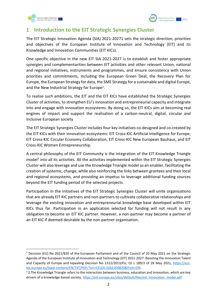



#### <span id="page-2-0"></span>**1 Introduction to the EIT Strategic Synergies Cluster**

The EIT Strategic Innovation Agenda (SIA) 2021-20271 sets the strategic direction, priorities and objectives of the European Institute of Innovation and Technology (EIT) and its Knowledge and Innovation Communities (EIT KICs).

One specific objective in the new EIT SIA 2021-2027 is to establish and foster appropriate synergies and complementarities between EIT activities and other relevant Union, national and regional initiatives, instruments and programmes, and ensure consistency with Union priorities and commitments, including the European Green Deal, the Recovery Plan for Europe, the European Strategy for data, the SME Strategy for a sustainable and digital Europe, and the New Industrial Strategy for Europe<sup>1</sup>.

To realise such ambitions, the EIT and the EIT KICs have established the Strategic Synergies Cluster of activities, to strengthen EU's innovation and entrepreneurial capacity and integrate into and engage with innovation ecosystems. By doing so, the EIT KICs aim at becoming real engines of impact and support the realisation of a carbon-neutral, digital, circular and inclusive European society.

The EIT Strategic Synergies Cluster includes four key initiatives co-designed and co-created by the EIT KICs with their innovation ecosystems: EIT Cross-KIC Artificial Intelligence for Europe, EIT Cross-KIC Circular Economy Collaboration, EIT Cross-KIC New European Bauhaus, and EIT Cross-KIC Women Entrepreneurship.

A central philosophy of the EIT Community is the integration of the EIT Knowledge Triangle model<sup>2</sup> into all its activities. All the activities implemented within the EIT Strategic Synergies Cluster will also leverage and use the Knowledge Triangle model as an enabler, facilitating the creation of systemic, change, while also reinforcing the links between grantees and their local and regional ecosystems, and providing an impetus to leverage additional funding sources beyond the EIT funding period of the selected projects.

Participation in the initiatives of the EIT Strategic Synergies Cluster will unite organisations that are already EIT KIC partners and non-partners to cultivate collaborative relationships and leverage the existing innovation and entrepreneurial knowledge base developed within EIT KICs thus far. Participation in an application selected for funding will not result in any obligation to become an EIT KIC partner. However, a non-partner may become a partner of an EIT KIC if deemed desirable by the non-partner organisation.

<sup>1</sup> Decision (EU) No 2021/820 of the European Parliament and of the Council of 20 May 2021 on the Strategic Agenda of the European Institute of Innovation and Technology (EIT) 2021-2027: Boosting the Innovation Talent and Capacity of Europe and repealing Decision No 1312/2013/EU, OJ L 189/3 of 28 May 2021, [https://eur](https://eur-lex.europa.eu/legal-content/EN/TXT/PDF/?uri=CELEX:32021D0820&from=EN)[lex.europa.eu/legal-content/EN/TXT/PDF/?uri=CELEX:32021D0820&from=EN](https://eur-lex.europa.eu/legal-content/EN/TXT/PDF/?uri=CELEX:32021D0820&from=EN) .

<sup>&</sup>lt;sup>2</sup> 2 The Knowledge Triangle refers to the interaction between business, education and innovation, which are key drivers of a knowledge-based society. [https://eit.europa.eu/sites/default/files/eit\\_innovation\\_model.pdf](https://eit.europa.eu/sites/default/files/eit_innovation_model.pdf)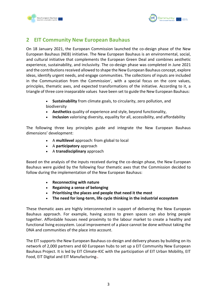



## <span id="page-3-0"></span>**2 EIT Community New European Bauhaus**

On 18 January 2021, the European Commission launched the co-design phase of the New European Bauhaus (NEB) initiative. The New European Bauhaus is an environmental, social, and cultural initiative that complements the European Green Deal and combines aesthetic experience, sustainability, and inclusivity. The co-design phase was completed in June 2021 and the contributions received allowed to shape the New European Bauhaus concept, explore ideas, identify urgent needs, and engage communities. The collections of inputs are included in the Communication from the Commission<sup>3</sup>, with a special focus on the core values, principles, thematic axes, and expected transformations of the initiative. According to it, a triangle of three core inseparable values have been set to guide the New European Bauhaus:

- **Sustainability** from climate goals, to circularity, zero pollution, and biodiversity
- **Aesthetics** quality of experience and style, beyond functionality,
- **Inclusion** valorising diversity, equality for all, accessibility, and affordability

The following three key principles guide and integrate the New European Bauhaus dimensions' development:

- A **multilevel** approach: from global to local
- A **participatory** approach
- A **transdisciplinary** approach

Based on the analysis of the inputs received during the co-design phase, the New European Bauhaus were guided by the following four thematic axes that the Commission decided to follow during the implementation of the New European Bauhaus:

- **Reconnecting with nature**
- **Regaining a sense of belonging**
- **Prioritising the places and people that need it the most**
- **The need for long-term, life cycle thinking in the industrial ecosystem**

These thematic axes are highly interconnected in support of delivering the New European Bauhaus approach. For example, having access to green spaces can also bring people together. Affordable houses need proximity to the labour market to create a healthy and functional living ecosystem. Local improvement of a place cannot be done without taking the DNA and communities of the place into account.

The EIT supports the New European Bauhaus co-design and delivery phases by building on its network of 2,000 partners and 60 European hubs to set up a EIT Community New European Bauhaus Project. It is led by EIT Climate-KIC with the participation of EIT Urban Mobility, EIT Food, EIT Digital and EIT Manufacturing .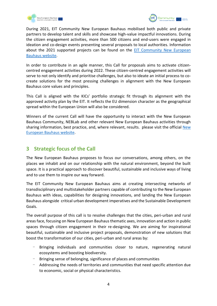



During 2021, EIT Community New European Bauhaus mobilised both public and private partners to develop talent and skills and showcase high-value impactful innovations. During the citizen engagement activities, more than 500 citizens and end-users were engaged in ideation and co-design events presenting several proposals to local authorities. Information about the 2021 supported projects can be found on the [EIT Community New European](https://engage.eiturbanmobility.eu/processes/new-european-bauhaus/f/36/)  [Bauhaus website.](https://engage.eiturbanmobility.eu/processes/new-european-bauhaus/f/36/)

In order to contribute in an agile manner, this Call for proposals aims to activate citizencentred engagement activities during 2022. These citizen-centred engagement activities will serve to not only identify and prioritise challenges, but also to ideate an initial process to cocreate solutions for the most pressing challenges in alignment with the New European Bauhaus core values and principles.

This Call is aligned with the KICs' portfolio strategic fit through its alignment with the approved activity plan by the EIT. It reflects the EU dimension character as the geographical spread within the European Union will also be considered.

Winners of the current Call will have the opportunity to interact with the New European Bauhaus Community, NEBLab and other relevant New European Bauhaus activities through sharing information, best practice, and, where relevant, results. please visit the official [New](https://europa.eu/new-european-bauhaus/index_en)  [European Bauhaus website.](https://europa.eu/new-european-bauhaus/index_en)

## <span id="page-4-0"></span>**3 Strategic focus of the Call**

The New European Bauhaus proposes to focus our conversations, among others, on the places we inhabit and on our relationship with the natural environment, beyond the built space. It is a practical approach to discover beautiful, sustainable and inclusive ways of living and to use them to inspire our way forward.

The EIT Community New European Bauhaus aims at creating intersecting networks of transdisciplinary and multistakeholder partners capable of contributing to the New European Bauhaus with ideas, capabilities for designing innovations, and landing the New European Bauhaus alongside critical urban development imperatives and the Sustainable Development Goals.

The overall purpose of this call is to resolve challenges that the cities, peri-urban and rural areas face, focusing on New European Bauhaus thematic axes, innovation and action in public spaces through citizen engagement in their re-designing. We are aiming for inspirational beautiful, sustainable and inclusive project proposals, demonstration of new solutions that boost the transformation of our cities, peri-urban and rural areas by:

- Bringing individuals and communities closer to nature, regenerating natural ecosystems and boosting biodiversity.
- Bringing sense of belonging, significance of places and communities
- Addressing the needs of territories and communities that need specific attention due to economic, social or physical characteristics.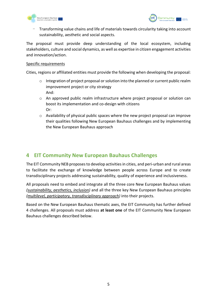



- Transforming value chains and life of materials towards circularity taking into account sustainability, aesthetic and social aspects.

The proposal must provide deep understanding of the local ecosystem, including stakeholders, culture and social dynamics, as well as expertise in citizen engagement activities and innovation/action.

#### Specific requirements

Cities, regions or affiliated entities must provide the following when developing the proposal:

- $\circ$  Integration of project proposal or solution into the planned or current public realm improvement project or city strategy And:
- o An approved public realm infrastructure where project proposal or solution can boost its implementation and co-design with citizens Or:
- o Availability of physical public spaces where the new project proposal can improve their qualities following New European Bauhaus challenges and by implementing the New European Bauhaus approach

#### <span id="page-5-0"></span>**4 EIT Community New European Bauhaus Challenges**

The EIT Community NEB proposes to develop activities in cities, and peri-urban and rural areas to facilitate the exchange of knowledge between people across Europe and to create transdisciplinary projects addressing sustainability, quality of experience and inclusiveness.

All proposals need to embed and integrate all the three core New European Bauhaus values *(sustainability, aesthetics, inclusion)* and all the three key New European Bauhaus principles *(multilevel, participatory, transdisciplinary approach)* into their projects.

Based on the New European Bauhaus thematic axes, the EIT Community has further defined 4 challenges. All proposals must address **at least one** of the EIT Community New European Bauhaus challenges described below.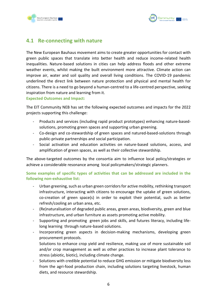



#### <span id="page-6-0"></span>**4.1 Re-connecting with nature**

The New European Bauhaus movement aims to create greater opportunities for contact with green public spaces that translate into better health and reduce income-related health inequalities. Nature-based solutions in cities can help address floods and other extreme weather events, whilst making the built environment more attractive. Climate action can improve air, water and soil quality and overall living conditions. The COVID-19 pandemic underlined the direct link between nature protection and physical and mental health for citizens. There is a need to go beyond a human-centred to a life-centred perspective, seeking inspiration from nature and learning from it.

#### **Expected Outcomes and Impact:**

The EIT Community NEB has set the following expected outcomes and impacts for the 2022 projects supporting this challenge:

- Products and services (including rapid product prototypes) enhancing nature-basedsolutions, promoting green spaces and supporting urban greening.
- Co-design and co-stewardship of green spaces and natured-based-solutions through public-private partnerships and social participation.
- Social activation and education activities on nature-based solutions, access, and amplification of green spaces, as well as their collective stewardship.

The above-targeted outcomes by the consortia aim to influence local policy/strategies or achieve a considerable resonance among local policymakers/strategic planners.

**Some examples of specific types of activities that can be addressed are included in the following non-exhaustive list:**

- Urban greening, such as urban green corridors for active mobility, rethinking transport infrastructure, interacting with citizens to encourage the uptake of green solutions, co-creation of green space(s) in order to exploit their potential, such as better refresh/cooling an urban area, etc.
- (Re)naturalisation of degraded public areas, green areas, biodiversity, green and blue infrastructure, and urban furniture as assets promoting active mobility.
- Supporting and promoting green jobs and skills, and futures literacy, including lifelong learning through nature-based solutions.
- Incorporating green aspects in decision-making mechanisms, developing green procurement protocols.

Solutions to enhance crop yield and resilience, making use of more sustainable soil and/or crop management as well as other practices to increase plant tolerance to stress (abiotic, biotic), including climate change.

- Solutions with credible potential to reduce GHG emission or mitigate biodiversity loss from the agri-food production chain, including solutions targeting livestock, human diets, and resource stewardship.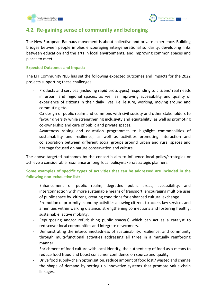



## <span id="page-7-0"></span>**4.2 Re-gaining sense of community and belonging**

The New European Bauhaus movement is about collective and private experience. Building bridges between people implies encouraging intergenerational solidarity, developing links between education and the arts in local environments, and improving common spaces and places to meet.

#### **Expected Outcomes and Impact:**

The EIT Community NEB has set the following expected outcomes and impacts for the 2022 projects supporting these challenges:

- Products and services (including rapid prototypes) responding to citizens' real needs in urban, and regional spaces, as well as improving accessibility and quality of experience of citizens in their daily lives, i.e. leisure, working, moving around and commuting etc.
- Co-design of public realm and commons with civil society and other stakeholders to favour diversity while strengthening inclusivity and equitability, as well as promoting co-ownership and care of public and private spaces.
- Awareness raising and education programmes to highlight commonalities of sustainability and resilience, as well as activities promoting interaction and collaboration between different social groups around urban and rural spaces and heritage focused on nature conservation and culture.

The above-targeted outcomes by the consortia aim to influence local policy/strategies or achieve a considerable resonance among local policymakers/strategic planners.

**Some examples of specific types of activities that can be addressed are included in the following non-exhaustive list:** 

- Enhancement of public realm, degraded public areas, accessibility, and interconnection with more sustainable means of transport, encouraging multiple uses of public space by citizens, creating conditions for enhanced cultural exchange.
- Promotion of proximity economy activities allowing citizens to access key services and amenities within walking distance, strengthening connections and fostering healthy, sustainable, active mobility.
- Repurposing and/or refurbishing public space(s) which can act as a catalyst to rediscover local communities and integrate newcomers.
- Demonstrating the interconnectedness of sustainability, resilience, and community through multi-functional activities addressing all three in a mutually reinforcing manner.
- Enrichment of food culture with local identity, the authenticity of food as a means to reduce food fraud and boost consumer confidence on source and quality.
- Drive food supply-chain optimisation, reduce amount of food lost / wasted and change the shape of demand by setting up innovative systems that promote value-chain linkages.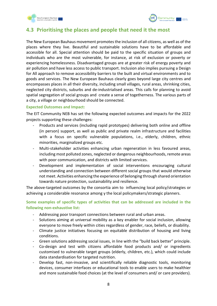



## <span id="page-8-0"></span>**4.3 Prioritising the places and people that need it the most**

The New European Bauhaus movement promotes the inclusion of all citizens, as well as of the places where they live. Beautiful and sustainable solutions have to be affordable and accessible for all. Special attention should be paid to the specific situation of groups and individuals who are the most vulnerable, for instance, at risk of exclusion or poverty or experiencing homelessness. Disadvantaged groups are at greater risk of energy poverty and air pollution and have less access to public transport. Inclusion also implies pursuing a Design for All approach to remove accessibility barriers to the built and virtual environments and to goods and services. The New European Bauhaus clearly goes beyond large city centres and encompasses places in all their diversity, including small villages, rural areas, shrinking cities, neglected city districts, suburbs and de-industrialised areas. This calls for planning to avoid spatial segregation of social groups and create a sense of togetherness. The various parts of a city, a village or neighbourhood should be connected.

#### **Expected Outcomes and Impact:**

The EIT Community NEB has set the following expected outcomes and impacts for the 2022 projects supporting these challenges:

- Products and services (including rapid prototypes) delivering both online and offline (in person) support, as well as public and private realm infrastructure and facilities with a focus on specific vulnerable populations, i.e., elderly, children, ethnic minorities, marginalized groups etc.
- Multi-stakeholder activities enhancing urban regeneration in less favoured areas, including most polluted zones, neglected or dangerous neighbourhoods, remote areas with poor communication, and districts with limited services.
- Development and implementation of social interventions encouraging cultural understanding and connection between different social groups that would otherwise not meet. Activities enhancing the experience of belonging through shared orientation towards nature protection, sustainability and resilience.

The above-targeted outcomes by the consortia aim to influencing local policy/strategies or achieving a considerable resonance among y the local policymakers/strategic planners.

**Some examples of specific types of activities that can be addressed are included in the following non-exhaustive list:**

- Addressing poor transport connections between rural and urban areas.
- Solutions aiming at universal mobility as a key enabler for social inclusion, allowing everyone to move freely within cities regardless of gender, race, beliefs, or disability.
- Climate justice initiatives focusing on equitable distribution of housing and living conditions.
- Green solutions addressing social issues, in line with the "build back better" principle.
- Co-design and test with citizens affordable food products and/ or ingredients customised to vulnerable target groups (elderly, children, etc.), which could include data standardisation for targeted nutrition.
- Develop fast, non-invasive, and scientifically reliable diagnostic tools, monitoring devices, consumer interfaces or educational tools to enable users to make healthier and more sustainable food choices (at the level of consumers and/ or care providers).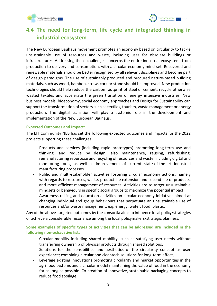



## <span id="page-9-0"></span>**4.4 The need for long-term, life cycle and integrated thinking in industrial ecosystem**

The New European Bauhaus movement promotes an economy based on circularity to tackle unsustainable use of resources and waste, including uses for obsolete buildings or infrastructures. Addressing these challenges concerns the entire industrial ecosystem, from production to delivery and consumption, with a circular economy mind-set. Recovered and renewable materials should be better recognised by all relevant disciplines and become part of design paradigms. The use of sustainably produced and procured nature-based building materials, such as wood, bamboo, straw, cork or stone should be improved. New production technologies should help reduce the carbon footprint of steel or cement, recycle otherwise wasted textiles and accelerate the green transition of energy intensive industries. New business models, bioeconomy, social economy approaches and Design for Sustainability can support the transformation of sectors such as textiles, tourism, waste management or energy production. The digital transition will play a systemic role in the development and implementation of the New European Bauhaus.

#### **Expected Outcomes and Impact:**

The EIT Community NEB has set the following expected outcomes and impacts for the 2022 projects supporting these challenges:

- Products and services (including rapid prototypes) promoting long-term use and thinking, and reduce by design; also maintenance, reusing, refurbishing, remanufacturing repurpose and recycling of resources and waste, including digital and monitoring tools, as well as improvement of current state-of-the-art industrial manufacturing processes.
- Public and multi-stakeholder activities fostering circular economy actions, namely with regards to resources, waste, product life extension and second life of products, and more efficient management of resources. Activities are to target unsustainable mindsets or behaviours in specific social groups to maximize the potential impact.
- Awareness raising and education activities on circular economy initiatives aimed at changing individual and group behaviours that perpetuate an unsustainable use of resources and/or waste management, e.g. energy, water, food, plastic.

Any of the above-targeted outcomes by the consortia aims to influence local policy/strategies or achieve a considerable resonance among the local policymakers/strategic planners.

#### **Some examples of specific types of activities that can be addressed are included in the following non-exhaustive list:**

- Circular mobility including shared mobility, such as satisfying user needs without transferring ownership of physical products through shared solutions.
- Solutions for the sensibilities and aesthetics of the circularity concept as user experience; combining circular and cleantech solutions for long-term effect,
- Leverage existing innovations promoting circularity and market opportunities in the agri-food systems and a circular model maintaining the value of food in the economy for as long as possible. Co-creation of innovative, sustainable packaging concepts to reduce food spoilage.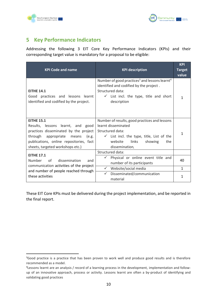



## <span id="page-10-0"></span>**5 Key Performance Indicators**

Addressing the following 3 EIT Core Key Performance Indicators (KPIs) and their corresponding target value is mandatory for a proposal to be eligible:

| <b>KPI Code and name</b>                                                                                                                                                                                             | <b>KPI description</b>                                                                                                                                                                                   | <b>KPI</b><br><b>Target</b><br>value |
|----------------------------------------------------------------------------------------------------------------------------------------------------------------------------------------------------------------------|----------------------------------------------------------------------------------------------------------------------------------------------------------------------------------------------------------|--------------------------------------|
| <b>EITHE 14.1</b><br>Good practices and lessons learnt<br>identified and codified by the project.                                                                                                                    | Number of good practices <sup>3</sup> and lessons learnt <sup>4</sup><br>identified and codified by the project.<br>Structured data:<br>$\checkmark$ List incl. the type, title and short<br>description | 1                                    |
| <b>EITHE 15.1</b><br>Results, lessons learnt, and good<br>practices disseminated by the project<br>through appropriate means<br>(e.g.<br>publications, online repositories, fact<br>sheets, targeted workshops etc.) | Number of results, good practices and lessons<br>learnt disseminated<br>Structured data:<br>$\checkmark$ List incl. the type, title, List of the<br>links<br>website<br>showing<br>the<br>dissemination. | 1                                    |
| <b>EITHE 17.1</b>                                                                                                                                                                                                    | Structured data:                                                                                                                                                                                         |                                      |
| Number<br>Ωf<br>dissemination<br>and<br>communication activities of the project                                                                                                                                      | Physical or online event title and<br>$\checkmark$<br>number of its participants                                                                                                                         | 40                                   |
| and number of people reached through                                                                                                                                                                                 | $\checkmark$<br>Website/social media                                                                                                                                                                     | $\mathbf{1}$                         |
| these activities                                                                                                                                                                                                     | $\checkmark$<br>Disseminated/communication<br>material                                                                                                                                                   | 1                                    |

These EIT Core KPIs must be delivered during the project implementation, and be reported in the final report.

<sup>&</sup>lt;sup>3</sup>Good practice is a practice that has been proven to work well and produce good results and is therefore recommended as a model.

<sup>4</sup> Lessons learnt are an analysis / record of a learning process in the development, implementation and followup of an innovative approach, process or activity. Lessons learnt are often a by-product of identifying and validating good practices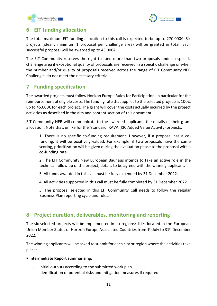



#### <span id="page-11-0"></span>**6 EIT funding allocation**

The total maximum EIT funding allocation to this call is expected to be up to 270.000€. Six projects (ideally minimum 1 proposal per challenge area) will be granted in total. Each successful proposal will be awarded up to 45.000€.

The EIT Community reserves the right to fund more than two proposals under a specific challenge area if exceptional quality of proposals are received in a specific challenge or when the number and/or quality of proposals received across the range of EIT Community NEB Challenges do not meet the necessary criteria.

## <span id="page-11-1"></span>**7 Funding specification**

The awarded projects must follow Horizon Europe Rules for Participation, in particular for the reimbursement of eligible costs. The funding rate that applies to the selected projects is 100% up to 45.000€ for each project. The grant will cover the costs actually incurred by the project activities as described in the aim and content section of this document.

EIT Community NEB will communicate to the awarded applicants the details of their grant allocation. Note that, unlike for the 'standard' KAVA (KIC Added Value Activity) projects:

1. There is no specific co-funding requirement. However, if a proposal has a cofunding, it will be positively valued. For example, if two proposals have the same scoring, prioritization will be given during the evaluation phase to the proposal with a co-funding rate.

2. The EIT Community New European Bauhaus intends to take an active role in the technical follow up of the project; details to be agreed with the winning applicant.

3. All funds awarded in this call must be fully expended by 31 December 2022.

4. All activities supported in this call must be fully completed by 31 December 2022.

5. The proposal selected in this EIT Community Call needs to follow the regular Business Plan reporting cycle and rules.

## <span id="page-11-2"></span>**8 Project duration, deliverables, monitoring and reporting**

The six selected projects will be implemented in six regions/cities located in the European Union Member States or Horizon Europe Associated Countries from 1<sup>st</sup> July to 31<sup>st</sup> December 2022.

The winning applicants will be asked to submit for each city or region where the activities take place:

#### **• Intermediate Report summarising:**

- Initial outputs according to the submitted work plan
- Identification of potential risks and mitigation measures if required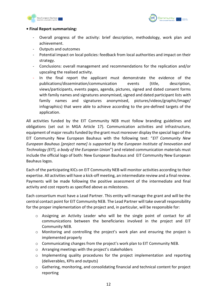



#### **• Final Report summarising:**

- Overall progress of the activity: brief description, methodology, work plan and achievement.
- Outputs and outcomes
- Potential impact on local policies: feedback from local authorities and impact on their strategy.
- Conclusions: overall management and recommendations for the replication and/or upscaling the realised activity.
- In the final report the applicant must demonstrate the evidence of the publications/dissemination/communication events (title, description, views/participants, events pages, agenda, pictures, signed and dated consent forms with family names and signatures anonymised, signed and dated participant lists with family names and signatures anonymised, pictures/videos/graphic/image/ infographics) that were able to achieve according to the pre-defined targets of the application.

All activities funded by the EIT Community NEB must follow branding guidelines and obligations (set out in MGA Article 17). Communication activities and infrastructure, equipment of major results funded by the grant must moreover display the special logo of the EIT Community New European Bauhaus with the following text: "*EIT Community New European Bauhaus [project name] is supported by the European Institute of Innovation and Technology (EIT), a body of the European Union*") and related communication materials must include the official logo of both: New European Bauhaus and EIT Community New European Bauhaus logos.

Each of the participating KICs on EIT Community NEB will monitor activities according to their expertise. All activities will have a kick-off meeting, an intermediate review and a final review. Payments will be made following the positive assessment of the intermediate and final activity and cost reports as specified above as milestones.

Each consortium must have a Lead Partner. This entity will manage the grant and will be the central contact point for EIT Community NEB. The Lead Partner will take overall responsibility for the proper implementation of the project and, in particular, will be responsible for:

- o Assigning an Activity Leader who will be the single point of contact for all communications between the beneficiaries involved in the project and EIT Community NEB.
- o Monitoring and controlling the project's work plan and ensuring the project is implemented properly
- o Communicating changes from the project's work plan to EIT Community NEB.
- o Arranging meetings with the project's stakeholders
- $\circ$  Implementing quality procedures for the project implementation and reporting (deliverables, KPIs and outputs)
- $\circ$  Gathering, monitoring, and consolidating financial and technical content for project reporting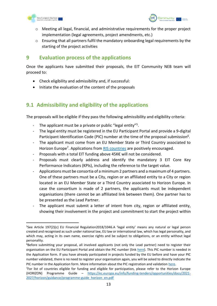



- $\circ$  Meeting all legal, financial, and administrative requirements for the proper project implementation (legal agreements, project amendments, etc.)
- $\circ$  Ensuring that all partners fulfil the mandatory onboarding legal requirements by the starting of the project activities

#### <span id="page-13-0"></span>**9 Evaluation process of the applications**

Once the applicants have submitted their proposals, the EIT Community NEB team will proceed to:

- Check eligibility and admissibility and, if successful:
- Initiate the evaluation of the content of the proposals

## <span id="page-13-1"></span>**9.1 Admissibility and eligibility of the applications**

The proposals will be eligible if they pass the following admissibility and eligibility criteria:

- The applicant must be a private or public "legal entity"<sup>5</sup>.
- The legal entity must be registered in the EU Participant Portal and provide a 9-digital Participant Identification Code (PIC) number at the time of the proposal submission<sup>6</sup>.
- The applicant must come from an EU Member State or Third Country associated to Horizon Europe<sup>7</sup>. Applications from **RIS countries** are positively encouraged.
- Proposals with a total EIT funding above 45K€ will not be considered.
- Proposals must clearly address and identify the mandatory 3 EIT Core Key Performance Indicators (KPIs), including the reference to the target value.
- Applications must be consortia of a minimum 2 partners and a maximum of 4 partners. One of these partners must be a City, region or an affiliated entity to a City or region located in an EU Member State or a Third Country associated to Horizon Europe. In case the consortium is made of 2 partners, the applicants must be independent organisations (there cannot be an affiliated link between them). One partner has to be presented as the Lead Partner.
- The applicant must submit a letter of intent from city, region or affiliated entity, showing their involvement in the project and commitment to start the project within

<sup>5</sup> See Article 197(2)(c) EU Financial Regulation2018/1046.A 'legal entity' means any natural or legal person created and recognised as such under national law, EU law or international law, which has legal personality, and which may, acting in its own name, exercise rights and be subject to obligations, or an entity without legal personality.

<sup>&</sup>lt;sup>6</sup>Before submitting your proposal, all involved applicants (not only the Lead partner) need to register their organisation on the EU Participant Portal and obtain the PIC number (link [here\)](https://ec.europa.eu/info/funding-tenders/opportunities/portal/screen/how-to-participate/participant-register). This PIC number is needed in the Application form. If you have already participated in projects funded by the EU before and have your PIC number validated, there is no need to register your organisation again, you will be asked to directly indicate the PIC number in the Application form. More information about the PIC registration and validation [here.](https://webgate.ec.europa.eu/funding-tenders-opportunities/display/OM/Registration+and+validation+of+your+organisation)

<sup>&</sup>lt;sup>7</sup>For list of countries eligible for funding and eligible for participation, please refer to the Horizon Europe (HORIZON) Programme Guide – [https://ec.europa.eu/info/funding-tenders/opportunities/docs/2021-](https://ec.europa.eu/info/funding-tenders/opportunities/docs/2021-2027/horizon/guidance/programme-guide_horizon_en.pdf) [2027/horizon/guidance/programme-guide\\_horizon\\_en.pdf](https://ec.europa.eu/info/funding-tenders/opportunities/docs/2021-2027/horizon/guidance/programme-guide_horizon_en.pdf)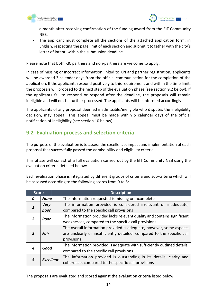



a month after receiving confirmation of the funding award from the EIT Community NEB.

The applicant must complete all the sections of the attached application form, in English, respecting the page limit of each section and submit it together with the city's letter of intent, within the submission deadline.

Please note that both KIC partners and non-partners are welcome to apply.

In case of missing or incorrect information linked to KPI and partner registration, applicants will be awarded 3 calendar days from the official communication for the completion of the application. If the applicants respond positively to this requirement and within the time limit, the proposals will proceed to the next step of the evaluation phase (see section 9.2 below). If the applicants fail to respond or respond after the deadline, the proposals will remain ineligible and will not be further processed. The applicants will be informed accordingly.

The applicants of any proposal deemed inadmissible/ineligible who disputes the ineligibility decision, may appeal. This appeal must be made within 5 calendar days of the official notification of ineligibility (see section 10 below).

## <span id="page-14-0"></span>**9.2 Evaluation process and selection criteria**

The purpose of the evaluation is to assess the excellence, impact and implementation of each proposal that successfully passed the admissibility and eligibility criteria.

This phase will consist of a full evaluation carried out by the EIT Community NEB using the evaluation criteria detailed below:

Each evaluation phase is integrated by different groups of criteria and sub-criteria which will be assessed according to the following scores from 0 to 5:

| <b>Score</b> |                  | <b>Description</b>                                                       |
|--------------|------------------|--------------------------------------------------------------------------|
| 0            | <b>None</b>      | The information requested is missing or incomplete                       |
|              | <b>Very</b>      | The information provided is considered irrelevant or inadequate,         |
|              | poor             | compared to the specific call provisions                                 |
|              | Poor             | The information provided lacks relevant quality and contains significant |
|              |                  | weaknesses, compared to the specific call provisions                     |
|              |                  | The overall information provided is adequate, however, some aspects      |
| 3            | Fair             | are unclearly or insufficiently detailed, compared to the specific call  |
|              |                  | provisions                                                               |
|              | Good             | The information provided is adequate with sufficiently outlined details, |
|              |                  | compared to the specific call provisions                                 |
| 5            | <b>Excellent</b> | The information provided is outstanding in its details, clarity and      |
|              |                  | coherence, compared to the specific call provisions                      |

The proposals are evaluated and scored against the evaluation criteria listed below: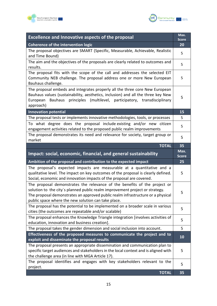



| <b>Excellence and Innovative aspects of the proposal</b>                                                                                                                                                                                                                                            | Max.<br><b>Score</b> |
|-----------------------------------------------------------------------------------------------------------------------------------------------------------------------------------------------------------------------------------------------------------------------------------------------------|----------------------|
| Coherence of the intervention logic                                                                                                                                                                                                                                                                 | 20                   |
| The proposal objectives are SMART (Specific, Measurable, Achievable, Realistic<br>and Time Bound)                                                                                                                                                                                                   | 5                    |
| The aim and the objectives of the proposals are clearly related to outcomes and<br>results.                                                                                                                                                                                                         | 5                    |
| The proposal fits with the scope of the call and addresses the selected EIT<br>Community NEB challenge. The proposal address one or more New European<br>Bauhaus challenge.                                                                                                                         | 5                    |
| The proposal embeds and integrates properly all the three core New European<br>Bauhaus values (sustainability, aesthetics, inclusion) and all the three key New<br>Bauhaus principles (multilevel, participatory, transdisciplinary<br>European<br>approach)                                        | 5                    |
| <b>Innovation potential</b>                                                                                                                                                                                                                                                                         | 15                   |
| The proposal tests or implements innovative methodologies, tools, or processes                                                                                                                                                                                                                      | 5                    |
| To what degree does the proposal include existing and/or new citizen<br>engagement activities related to the proposed public realm improvements                                                                                                                                                     | 5                    |
| The proposal demonstrates its need and relevance for society, target group or<br>market                                                                                                                                                                                                             | 5                    |
| <b>TOTAL</b>                                                                                                                                                                                                                                                                                        | 35                   |
| Impact: social, economic, financial, and general sustainability                                                                                                                                                                                                                                     | Max.                 |
|                                                                                                                                                                                                                                                                                                     | <b>Score</b>         |
| Ambition of the proposal and contribution to the expected impact                                                                                                                                                                                                                                    | 25                   |
| The proposal's expected impacts are measurable at a quantitative and a<br>qualitative level. The impact on key outcomes of the proposal is clearly defined.<br>Social, economic and innovation impacts of the proposal are covered.                                                                 | 5                    |
| The proposal demonstrates the relevance of the benefits of the project or<br>solution to the city's planned public realm improvement project or strategy.<br>The proposal demonstrates an approved public realm infrastructure or a physical<br>public space where the new solution can take place. | 5                    |
| The proposal has the potential to be implemented on a broader scale in various<br>cities (the outcomes are repeatable and/or scalable)                                                                                                                                                              | 5                    |
| The proposal enhances the Knowledge Triangle integration [involves activities of<br>education, innovation and business creation].                                                                                                                                                                   | 5                    |
| The proposal takes the gender dimension and social inclusion into account.                                                                                                                                                                                                                          | 5                    |
| Effectiveness of the proposed measures to communicate the project and to<br>exploit and disseminate the proposal results                                                                                                                                                                            | 10                   |
| The proposal presents an appropriate dissemination and communication plan to<br>specific target audiences and stakeholders in the local context and is aligned with<br>the challenge area (in line with MGA Article 17).                                                                            | 5                    |
| The proposal identifies and engages with key stakeholders relevant to the<br>project.                                                                                                                                                                                                               | 5                    |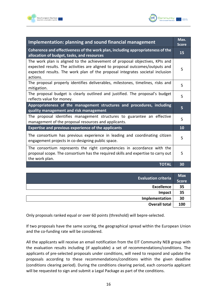



| Implementation: planning and sound financial management                                                                                                                                                                                                    |    |
|------------------------------------------------------------------------------------------------------------------------------------------------------------------------------------------------------------------------------------------------------------|----|
| Coherence and effectiveness of the work plan, including appropriateness of the<br>allocation of budget, tasks, and resources                                                                                                                               | 15 |
| The work plan is aligned to the achievement of proposal objectives, KPIs and<br>expected results. The activities are aligned to proposal outcomes/outputs and<br>expected results. The work plan of the proposal integrates societal inclusion<br>actions. | 5  |
| The proposal properly identifies deliverables, milestones, timelines, risks and<br>mitigation.                                                                                                                                                             | 5  |
| The proposal budget is clearly outlined and justified. The proposal's budget<br>reflects value for money.                                                                                                                                                  | 5  |
| Appropriateness of the management structures and procedures, including<br>quality management and risk management                                                                                                                                           | 5  |
| The proposal identifies management structures to guarantee an effective<br>management of the proposal resources and applicants.                                                                                                                            | 5  |
| <b>Expertise and previous experience of the applicants</b>                                                                                                                                                                                                 | 10 |
| The consortium has previous experience in leading and coordinating citizen<br>engagement projects in co-designing public space.                                                                                                                            | 5  |
| The consortium represents the right competencies in accordance with the<br>proposal scope. The consortium has the required skills and expertise to carry out<br>the work plan.                                                                             | 5  |
| <b>TOTAL</b>                                                                                                                                                                                                                                               | 30 |

| <b>Evaluation criteria</b> | <b>Max</b><br><b>Score</b> |
|----------------------------|----------------------------|
| <b>Excellence</b>          | 35                         |
| Impact                     | 35                         |
| Implementation             | 30                         |
| <b>Overall total</b>       | 100                        |

Only proposals ranked equal or over 60 points (threshold) will bepre-selected.

If two proposals have the same scoring, the geographical spread within the European Union and the co-funding rate will be considered.

All the applicants will receive an email notification from the EIT Community NEB group with the evaluation results including (if applicable) a set of recommendations/conditions. The applicants of pre-selected proposals under conditions, will need to respond and update the proposals according to these recommendations/conditions within the given deadline (conditions clearing period). During the conditions clearing period, each consortia applicant will be requested to sign and submit a Legal Package as part of the conditions.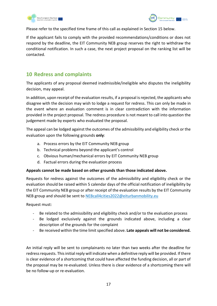



Please refer to the specified time frame of this call as explained in Section 15 below.

If the applicant fails to comply with the provided recommendations/conditions or does not respond by the deadline, the EIT Community NEB group reserves the right to withdraw the conditional notification. In such a case, the next project proposal on the ranking list will be contacted.

#### <span id="page-17-0"></span>**10 Redress and complaints**

The applicants of any proposal deemed inadmissible/ineligible who disputes the ineligibility decision, may appeal.

In addition, upon receipt of the evaluation results, if a proposal is rejected, the applicants who disagree with the decision may wish to lodge a request for redress. This can only be made in the event where an evaluation comment is in clear contradiction with the information provided in the project proposal. The redress procedure is not meant to call into question the judgement made by experts who evaluated the proposal.

The appeal can be lodged against the outcomes of the admissibility and eligibility check or the evaluation upon the following grounds **only**:

- a. Process errors by the EIT Community NEB group
- b. Technical problems beyond the applicant's control
- c. Obvious human/mechanical errors by EIT Community NEB group
- d. Factual errors during the evaluation process

#### **Appeals cannot be made based on other grounds than those indicated above.**

Requests for redress against the outcomes of the admissibility and eligibility check or the evaluation should be raised within 5 calendar days of the official notification of ineligibility by the EIT Community NEB group or after receipt of the evaluation results by the EIT Community NEB group and should be sent to [NEBcall4cities2022@eiturbanmobility.eu](mailto:NEBcall4cities2022@eiturbanmobility.eu)

Request must:

- Be related to the admissibility and eligibility check and/or to the evaluation process
- Be lodged exclusively against the grounds indicated above, including a clear description of the grounds for the complaint
- Be received within the time limit specified above. **Late appeals will not be considered.**

An initial reply will be sent to complainants no later than two weeks after the deadline for redress requests. This initial reply will indicate when a definitive reply will be provided. If there is clear evidence of a shortcoming that could have affected the funding decision, all or part of the proposal may be re-evaluated. Unless there is clear evidence of a shortcoming there will be no follow-up or re-evaluation.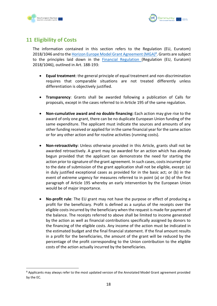



## <span id="page-18-0"></span>**11 Eligibility of Costs**

The information contained in this section refers to the Regulation (EU, Euratom) 2018/1046 and to th[e Horizon Europe Model Grant Agreement \(MGA\)](https://ec.europa.eu/info/funding-tenders/opportunities/docs/2021-2027/horizon/agr-contr/unit-mga_he_en.pdf)<sup>8</sup>. Grants are subject to the principles laid down in the **[Financial Regulation](https://publications.europa.eu/en/publication-detail/-/publication/e9488da5-d66f-11e8-9424-01aa75ed71a1/language-en/format-PDF/source-86606884) (Regulation (EU**, Euratom) 2018/1046), outlined in Art. 188-193:

- **Equal treatment**: the general principle of equal treatment and non-discrimination requires that comparable situations are not treated differently unless differentiation is objectively justified.
- **Transparency**: Grants shall be awarded following a publication of Calls for proposals, except in the cases referred to in Article 195 of the same regulation.
- **Non-cumulative award and no double financing:** Each action may give rise to the award of only one grant, there can be no duplicate European Union funding of the same expenditure. The applicant must indicate the sources and amounts of any other funding received or applied for in the same financial year for the same action or for any other action and for routine activities (running costs).
- **Non-retroactivity:** Unless otherwise provided in this Article, grants shall not be awarded retroactively. A grant may be awarded for an action which has already begun provided that the applicant can demonstrate the need for starting the action prior to signature of the grant agreement. In such cases, costs incurred prior to the date of submission of the grant application shall not be eligible, except: (a) in duly justified exceptional cases as provided for in the basic act; or (b) in the event of extreme urgency for measures referred to in point (a) or (b) of the first paragraph of Article 195 whereby an early intervention by the European Union would be of major importance.
- **No-profit rule**: The EU grant may not have the purpose or effect of producing a profit for the beneficiary. Profit is defined as a surplus of the receipts over the eligible costs incurred by the beneficiary when the request is made for payment of the balance. The receipts referred to above shall be limited to income generated by the action as well as financial contributions specifically assigned by donors to the financing of the eligible costs. Any income of the action must be indicated in the estimated budget and the final financial statement. If the final amount results in a profit for the beneficiaries, the amount of the grant will be reduced by the percentage of the profit corresponding to the Union contribution to the eligible costs of the action actually incurred by the beneficiaries.

<sup>&</sup>lt;sup>8</sup> Applicants may always refer to the most updated version of the Annotated Model Grant agreement provided by the EC.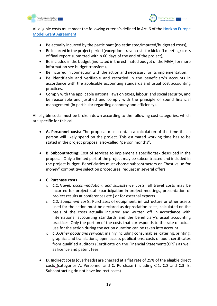



All eligible costs must meet the following criteria's defined in Art. 6 of the [Horizon Europe](https://ec.europa.eu/info/funding-tenders/opportunities/docs/2021-2027/horizon/agr-contr/unit-mga_he_en.pdf)  [Model Grant Agreement:](https://ec.europa.eu/info/funding-tenders/opportunities/docs/2021-2027/horizon/agr-contr/unit-mga_he_en.pdf)

- Be actually incurred by the participant (no estimated/imputed/budgeted costs),
- Be incurred in the project period (exception: travel costs for kick-off meeting; costs of final report submitted within 60 days of the end of the project),
- Be included in the budget (indicated in the estimated budget of the MGA; for more information see budget transfers),
- Be incurred in connection with the action and necessary for its implementation,
- Be identifiable and verifiable and recorded in the beneficiary's accounts in accordance with the applicable accounting standards and usual cost accounting practices,
- Comply with the applicable national laws on taxes, labour, and social security, and be reasonable and justified and comply with the principle of sound financial management (in particular regarding economy and efficiency).

All eligible costs must be broken down according to the following cost categories, which are specific for this call:

- **A. Personnel costs:** The proposal must contain a calculation of the time that a person will likely spend on the project. This estimated working time has to be stated in the project proposal also-called "person months".
- **B. Subcontracting**: Cost of services to implement a specific task described in the proposal. Only a limited part of the project may be subcontracted and included in the project budget. Beneficiaries must choose subcontractors on "best value for money" competitive selection procedures, request in several offers.
- **C. Purchase costs**
	- o *C.1.Travel, accommodation, and subsistence costs:* all travel costs may be incurred for project staff (participation in project meetings, presentation of project results at conferences etc.) or for external experts.
	- o *C.2. Equipment costs:* Purchases of equipment, infrastructure or other assets used for the action must be declared as depreciation costs, calculated on the basis of the costs actually incurred and written off in accordance with international accounting standards and the beneficiary's usual accounting practices. Only the portion of the costs that corresponds to the rate of actual use for the action during the action duration can be taken into account.
	- o *C.3.Other goods and services:* mainly including consumables, catering, printing, graphics and translations, open access publications, costs of audit certificates from qualified auditors (Certificate on the Financial Statements(CFS)) as well as licence and patent fees.
- **D. Indirect costs** (overheads) are charged at a flat rate of 25% of the eligible direct costs (categories A. Personnel and C. Purchase (including C.1, C.2 and C.3. B. Subcontracting do not have indirect costs)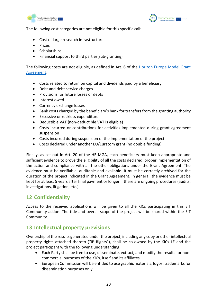



The following cost categories are not eligible for this specific call:

- Cost of large research infrastructure
- Prizes
- Scholarships
- Financial support to third parties(sub-granting)

The following costs are not eligible, as defined in Art. 6 of the [Horizon Europe Model Grant](https://ec.europa.eu/info/funding-tenders/opportunities/docs/2021-2027/horizon/agr-contr/unit-mga_he_en.pdf)  [Agreement:](https://ec.europa.eu/info/funding-tenders/opportunities/docs/2021-2027/horizon/agr-contr/unit-mga_he_en.pdf)

- Costs related to return on capital and dividends paid by a beneficiary
- Debt and debt service charges
- Provisions for future losses or debts
- Interest owed
- Currency exchange losses
- Bank costs charged by the beneficiary's bank for transfers from the granting authority
- Excessive or reckless expenditure
- Deductible VAT (non-deductible VAT is eligible)
- Costs incurred or contributions for activities implemented during grant agreement suspension
- Costs incurred during suspension of the implementation of the project
- Costs declared under another EU/Euratom grant (no double funding)

Finally, as set out in Art. 20 of the HE MGA, each beneficiary must keep appropriate and sufficient evidence to prove the eligibility of all the costs declared, proper implementation of the action and compliance with all the other obligations under the Grant Agreement. The evidence must be verifiable, auditable and available. It must be correctly archived for the duration of the project indicated in the Grant Agreement. In general, the evidence must be kept for at least 5 years after final payment or longer if there are ongoing procedures (audits, investigations, litigation, etc.).

#### <span id="page-20-0"></span>**12 Confidentiality**

Access to the received applications will be given to all the KICs participating in this EIT Community action. The title and overall scope of the project will be shared within the EIT Community.

#### <span id="page-20-1"></span>**13 Intellectual property previsions**

Ownership of the results generated under the project, including any copy or other intellectual property rights attached thereto ("IP Rights"), shall be co-owned by the KICs LE and the project participant with the following understanding:

- Each Party shall be free to use, disseminate, extract, and modify the results for noncommercial purposes of the KICs, itself and its affiliates.
- European Commission will be entitled to use graphic materials, logos, trademarks for dissemination purposes only.